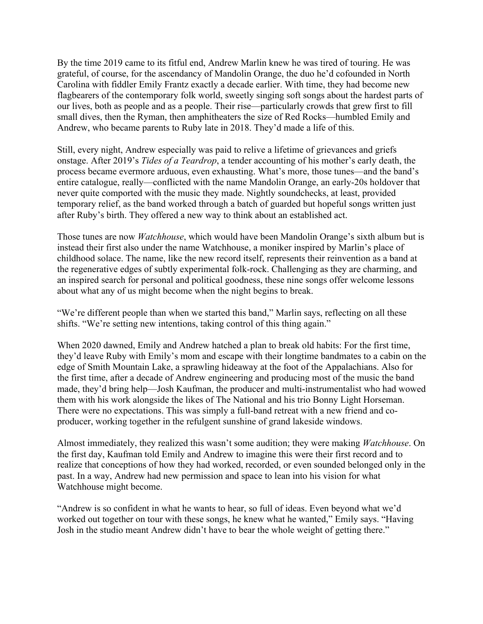By the time 2019 came to its fitful end, Andrew Marlin knew he was tired of touring. He was grateful, of course, for the ascendancy of Mandolin Orange, the duo he'd cofounded in North Carolina with fiddler Emily Frantz exactly a decade earlier. With time, they had become new flagbearers of the contemporary folk world, sweetly singing soft songs about the hardest parts of our lives, both as people and as a people. Their rise—particularly crowds that grew first to fill small dives, then the Ryman, then amphitheaters the size of Red Rocks—humbled Emily and Andrew, who became parents to Ruby late in 2018. They'd made a life of this.

Still, every night, Andrew especially was paid to relive a lifetime of grievances and griefs onstage. After 2019's *Tides of a Teardrop*, a tender accounting of his mother's early death, the process became evermore arduous, even exhausting. What's more, those tunes—and the band's entire catalogue, really—conflicted with the name Mandolin Orange, an early-20s holdover that never quite comported with the music they made. Nightly soundchecks, at least, provided temporary relief, as the band worked through a batch of guarded but hopeful songs written just after Ruby's birth. They offered a new way to think about an established act.

Those tunes are now *Watchhouse*, which would have been Mandolin Orange's sixth album but is instead their first also under the name Watchhouse, a moniker inspired by Marlin's place of childhood solace. The name, like the new record itself, represents their reinvention as a band at the regenerative edges of subtly experimental folk-rock. Challenging as they are charming, and an inspired search for personal and political goodness, these nine songs offer welcome lessons about what any of us might become when the night begins to break.

"We're different people than when we started this band," Marlin says, reflecting on all these shifts. "We're setting new intentions, taking control of this thing again."

When 2020 dawned, Emily and Andrew hatched a plan to break old habits: For the first time, they'd leave Ruby with Emily's mom and escape with their longtime bandmates to a cabin on the edge of Smith Mountain Lake, a sprawling hideaway at the foot of the Appalachians. Also for the first time, after a decade of Andrew engineering and producing most of the music the band made, they'd bring help—Josh Kaufman, the producer and multi-instrumentalist who had wowed them with his work alongside the likes of The National and his trio Bonny Light Horseman. There were no expectations. This was simply a full-band retreat with a new friend and coproducer, working together in the refulgent sunshine of grand lakeside windows.

Almost immediately, they realized this wasn't some audition; they were making *Watchhouse*. On the first day, Kaufman told Emily and Andrew to imagine this were their first record and to realize that conceptions of how they had worked, recorded, or even sounded belonged only in the past. In a way, Andrew had new permission and space to lean into his vision for what Watchhouse might become.

"Andrew is so confident in what he wants to hear, so full of ideas. Even beyond what we'd worked out together on tour with these songs, he knew what he wanted," Emily says. "Having Josh in the studio meant Andrew didn't have to bear the whole weight of getting there."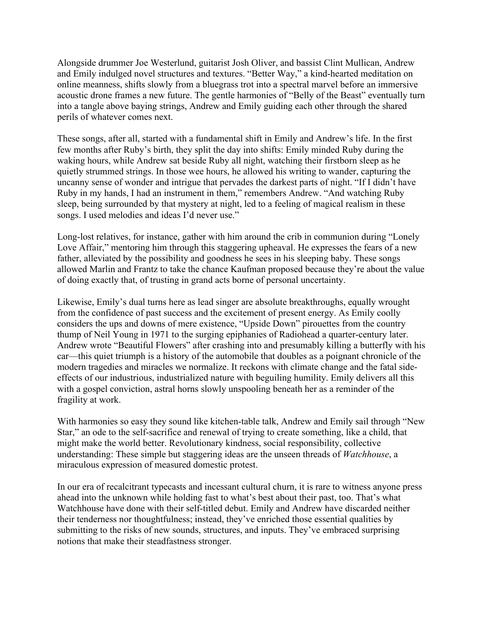Alongside drummer Joe Westerlund, guitarist Josh Oliver, and bassist Clint Mullican, Andrew and Emily indulged novel structures and textures. "Better Way," a kind-hearted meditation on online meanness, shifts slowly from a bluegrass trot into a spectral marvel before an immersive acoustic drone frames a new future. The gentle harmonies of "Belly of the Beast" eventually turn into a tangle above baying strings, Andrew and Emily guiding each other through the shared perils of whatever comes next.

These songs, after all, started with a fundamental shift in Emily and Andrew's life. In the first few months after Ruby's birth, they split the day into shifts: Emily minded Ruby during the waking hours, while Andrew sat beside Ruby all night, watching their firstborn sleep as he quietly strummed strings. In those wee hours, he allowed his writing to wander, capturing the uncanny sense of wonder and intrigue that pervades the darkest parts of night. "If I didn't have Ruby in my hands, I had an instrument in them," remembers Andrew. "And watching Ruby sleep, being surrounded by that mystery at night, led to a feeling of magical realism in these songs. I used melodies and ideas I'd never use."

Long-lost relatives, for instance, gather with him around the crib in communion during "Lonely Love Affair," mentoring him through this staggering upheaval. He expresses the fears of a new father, alleviated by the possibility and goodness he sees in his sleeping baby. These songs allowed Marlin and Frantz to take the chance Kaufman proposed because they're about the value of doing exactly that, of trusting in grand acts borne of personal uncertainty.

Likewise, Emily's dual turns here as lead singer are absolute breakthroughs, equally wrought from the confidence of past success and the excitement of present energy. As Emily coolly considers the ups and downs of mere existence, "Upside Down" pirouettes from the country thump of Neil Young in 1971 to the surging epiphanies of Radiohead a quarter-century later. Andrew wrote "Beautiful Flowers" after crashing into and presumably killing a butterfly with his car—this quiet triumph is a history of the automobile that doubles as a poignant chronicle of the modern tragedies and miracles we normalize. It reckons with climate change and the fatal sideeffects of our industrious, industrialized nature with beguiling humility. Emily delivers all this with a gospel conviction, astral horns slowly unspooling beneath her as a reminder of the fragility at work.

With harmonies so easy they sound like kitchen-table talk, Andrew and Emily sail through "New Star," an ode to the self-sacrifice and renewal of trying to create something, like a child, that might make the world better. Revolutionary kindness, social responsibility, collective understanding: These simple but staggering ideas are the unseen threads of *Watchhouse*, a miraculous expression of measured domestic protest.

In our era of recalcitrant typecasts and incessant cultural churn, it is rare to witness anyone press ahead into the unknown while holding fast to what's best about their past, too. That's what Watchhouse have done with their self-titled debut. Emily and Andrew have discarded neither their tenderness nor thoughtfulness; instead, they've enriched those essential qualities by submitting to the risks of new sounds, structures, and inputs. They've embraced surprising notions that make their steadfastness stronger.